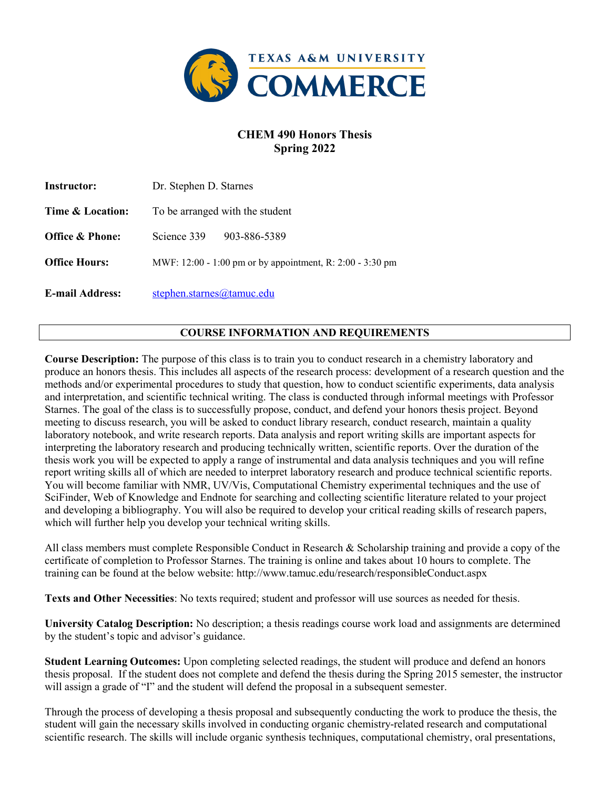

## **CHEM 490 Honors Thesis Spring 2022**

| <b>Instructor:</b>     | Dr. Stephen D. Starnes                                    |
|------------------------|-----------------------------------------------------------|
| Time & Location:       | To be arranged with the student                           |
| Office & Phone:        | 903-886-5389<br>Science 339                               |
| <b>Office Hours:</b>   | MWF: 12:00 - 1:00 pm or by appointment, R: 2:00 - 3:30 pm |
| <b>E-mail Address:</b> | stephen.starnes@tamuc.edu                                 |

### **COURSE INFORMATION AND REQUIREMENTS**

**Course Description:** The purpose of this class is to train you to conduct research in a chemistry laboratory and produce an honors thesis. This includes all aspects of the research process: development of a research question and the methods and/or experimental procedures to study that question, how to conduct scientific experiments, data analysis and interpretation, and scientific technical writing. The class is conducted through informal meetings with Professor Starnes. The goal of the class is to successfully propose, conduct, and defend your honors thesis project. Beyond meeting to discuss research, you will be asked to conduct library research, conduct research, maintain a quality laboratory notebook, and write research reports. Data analysis and report writing skills are important aspects for interpreting the laboratory research and producing technically written, scientific reports. Over the duration of the thesis work you will be expected to apply a range of instrumental and data analysis techniques and you will refine report writing skills all of which are needed to interpret laboratory research and produce technical scientific reports. You will become familiar with NMR, UV/Vis, Computational Chemistry experimental techniques and the use of SciFinder, Web of Knowledge and Endnote for searching and collecting scientific literature related to your project and developing a bibliography. You will also be required to develop your critical reading skills of research papers, which will further help you develop your technical writing skills.

All class members must complete Responsible Conduct in Research & Scholarship training and provide a copy of the certificate of completion to Professor Starnes. The training is online and takes about 10 hours to complete. The training can be found at the below website: http://www.tamuc.edu/research/responsibleConduct.aspx

**Texts and Other Necessities**: No texts required; student and professor will use sources as needed for thesis.

**University Catalog Description:** No description; a thesis readings course work load and assignments are determined by the student's topic and advisor's guidance.

**Student Learning Outcomes:** Upon completing selected readings, the student will produce and defend an honors thesis proposal. If the student does not complete and defend the thesis during the Spring 2015 semester, the instructor will assign a grade of "I" and the student will defend the proposal in a subsequent semester.

Through the process of developing a thesis proposal and subsequently conducting the work to produce the thesis, the student will gain the necessary skills involved in conducting organic chemistry-related research and computational scientific research. The skills will include organic synthesis techniques, computational chemistry, oral presentations,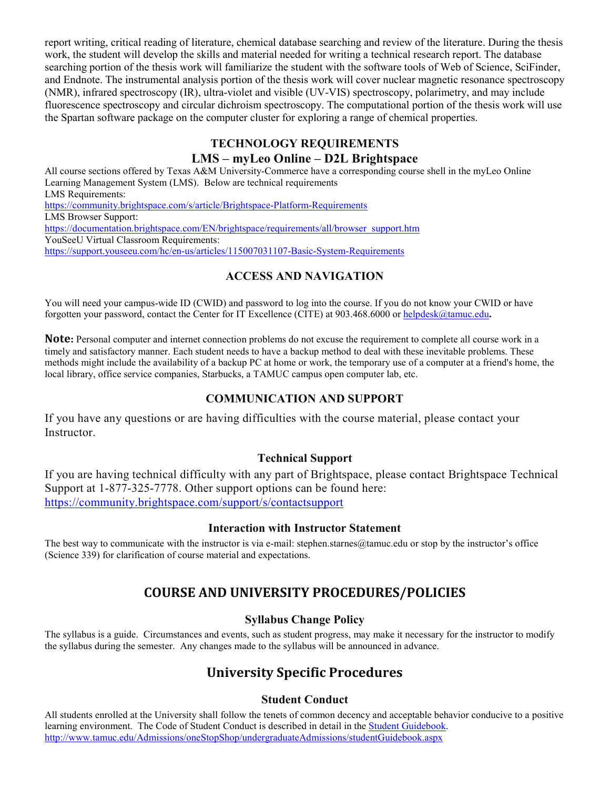report writing, critical reading of literature, chemical database searching and review of the literature. During the thesis work, the student will develop the skills and material needed for writing a technical research report. The database searching portion of the thesis work will familiarize the student with the software tools of Web of Science, SciFinder, and Endnote. The instrumental analysis portion of the thesis work will cover nuclear magnetic resonance spectroscopy (NMR), infrared spectroscopy (IR), ultra-violet and visible (UV-VIS) spectroscopy, polarimetry, and may include fluorescence spectroscopy and circular dichroism spectroscopy. The computational portion of the thesis work will use the Spartan software package on the computer cluster for exploring a range of chemical properties.

# **TECHNOLOGY REQUIREMENTS**

## **LMS – myLeo Online – D2L Brightspace**

All course sections offered by Texas A&M University-Commerce have a corresponding course shell in the myLeo Online Learning Management System (LMS). Below are technical requirements LMS Requirements: <https://community.brightspace.com/s/article/Brightspace-Platform-Requirements> LMS Browser Support: [https://documentation.brightspace.com/EN/brightspace/requirements/all/browser\\_support.htm](https://documentation.brightspace.com/EN/brightspace/requirements/all/browser_support.htm) YouSeeU Virtual Classroom Requirements: <https://support.youseeu.com/hc/en-us/articles/115007031107-Basic-System-Requirements>

## **ACCESS AND NAVIGATION**

You will need your campus-wide ID (CWID) and password to log into the course. If you do not know your CWID or have forgotten your password, contact the Center for IT Excellence (CITE) at 903.468.6000 or [helpdesk@tamuc.edu](mailto:helpdesk@tamuc.edu)**.**

**Note:** Personal computer and internet connection problems do not excuse the requirement to complete all course work in a timely and satisfactory manner. Each student needs to have a backup method to deal with these inevitable problems. These methods might include the availability of a backup PC at home or work, the temporary use of a computer at a friend's home, the local library, office service companies, Starbucks, a TAMUC campus open computer lab, etc.

## **COMMUNICATION AND SUPPORT**

If you have any questions or are having difficulties with the course material, please contact your Instructor.

## **Technical Support**

If you are having technical difficulty with any part of Brightspace, please contact Brightspace Technical Support at 1-877-325-7778. Other support options can be found here: <https://community.brightspace.com/support/s/contactsupport>

### **Interaction with Instructor Statement**

The best way to communicate with the instructor is via e-mail: stephen.starnes@tamuc.edu or stop by the instructor's office (Science 339) for clarification of course material and expectations.

# **COURSE AND UNIVERSITY PROCEDURES/POLICIES**

## **Syllabus Change Policy**

The syllabus is a guide. Circumstances and events, such as student progress, may make it necessary for the instructor to modify the syllabus during the semester. Any changes made to the syllabus will be announced in advance.

# **University Specific Procedures**

## **Student Conduct**

All students enrolled at the University shall follow the tenets of common decency and acceptable behavior conducive to a positive learning environment. The Code of Student Conduct is described in detail in the [Student Guidebook.](http://www.tamuc.edu/Admissions/oneStopShop/undergraduateAdmissions/studentGuidebook.aspx) <http://www.tamuc.edu/Admissions/oneStopShop/undergraduateAdmissions/studentGuidebook.aspx>